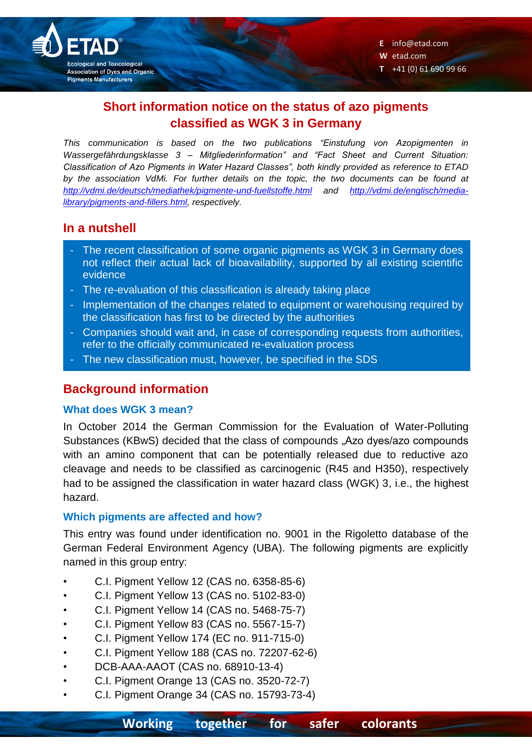

**W** etad.com

**T** +41 (0) 61 690 99 66

# **Short information notice on the status of azo pigments classified as WGK 3 in Germany**

*This communication is based on the two publications "Einstufung von Azopigmenten in Wassergefährdungsklasse 3 – Mitgliederinformation" and "Fact Sheet and Current Situation: Classification of Azo Pigments in Water Hazard Classes", both kindly provided as reference to ETAD by the association VdMi. For further details on the topic, the two documents can be found at <http://vdmi.de/deutsch/mediathek/pigmente-und-fuellstoffe.html> and [http://vdmi.de/englisch/media](http://vdmi.de/englisch/media-library/pigments-and-fillers.html)[library/pigments-and-fillers.html,](http://vdmi.de/englisch/media-library/pigments-and-fillers.html) respectively.*

## **In a nutshell**

- The recent classification of some organic pigments as WGK 3 in Germany does not reflect their actual lack of bioavailability, supported by all existing scientific evidence
- The re-evaluation of this classification is already taking place
- Implementation of the changes related to equipment or warehousing required by the classification has first to be directed by the authorities
- Companies should wait and, in case of corresponding requests from authorities, refer to the officially communicated re-evaluation process
- The new classification must, however, be specified in the SDS

## **Background information**

### **What does WGK 3 mean?**

In October 2014 the German Commission for the Evaluation of Water-Polluting Substances (KBwS) decided that the class of compounds "Azo dyes/azo compounds with an amino component that can be potentially released due to reductive azo cleavage and needs to be classified as carcinogenic (R45 and H350), respectively had to be assigned the classification in water hazard class (WGK) 3, i.e., the highest hazard.

### **Which pigments are affected and how?**

This entry was found under identification no. 9001 in the Rigoletto database of the German Federal Environment Agency (UBA). The following pigments are explicitly named in this group entry:

- C.I. Pigment Yellow 12 (CAS no. 6358-85-6)
- C.I. Pigment Yellow 13 (CAS no. 5102-83-0)
- C.I. Pigment Yellow 14 (CAS no. 5468-75-7)
- C.I. Pigment Yellow 83 (CAS no. 5567-15-7)
- C.I. Pigment Yellow 174 (EC no. 911-715-0)
- C.I. Pigment Yellow 188 (CAS no. 72207-62-6)
- DCB-AAA-AAOT (CAS no. 68910-13-4)
- C.I. Pigment Orange 13 (CAS no. 3520-72-7)
- C.I. Pigment Orange 34 (CAS no. 15793-73-4)